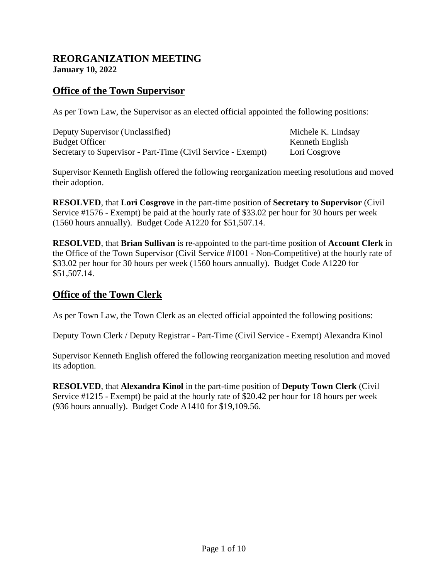#### **REORGANIZATION MEETING January 10, 2022**

## **Office of the Town Supervisor**

As per Town Law, the Supervisor as an elected official appointed the following positions:

| Deputy Supervisor (Unclassified)                             | Michele K. Lindsay |
|--------------------------------------------------------------|--------------------|
| <b>Budget Officer</b>                                        | Kenneth English    |
| Secretary to Supervisor - Part-Time (Civil Service - Exempt) | Lori Cosgrove      |

Supervisor Kenneth English offered the following reorganization meeting resolutions and moved their adoption.

**RESOLVED**, that **Lori Cosgrove** in the part-time position of **Secretary to Supervisor** (Civil Service #1576 - Exempt) be paid at the hourly rate of \$33.02 per hour for 30 hours per week (1560 hours annually). Budget Code A1220 for \$51,507.14.

**RESOLVED**, that **Brian Sullivan** is re-appointed to the part-time position of **Account Clerk** in the Office of the Town Supervisor (Civil Service #1001 - Non-Competitive) at the hourly rate of \$33.02 per hour for 30 hours per week (1560 hours annually). Budget Code A1220 for \$51,507.14.

## **Office of the Town Clerk**

As per Town Law, the Town Clerk as an elected official appointed the following positions:

Deputy Town Clerk / Deputy Registrar - Part-Time (Civil Service - Exempt) Alexandra Kinol

Supervisor Kenneth English offered the following reorganization meeting resolution and moved its adoption.

**RESOLVED**, that **Alexandra Kinol** in the part-time position of **Deputy Town Clerk** (Civil Service #1215 - Exempt) be paid at the hourly rate of \$20.42 per hour for 18 hours per week (936 hours annually). Budget Code A1410 for \$19,109.56.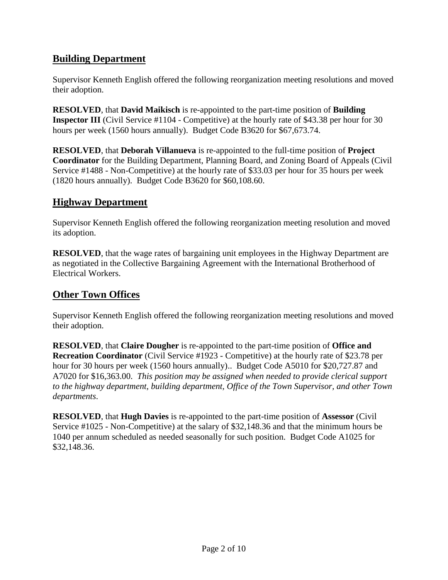# **Building Department**

Supervisor Kenneth English offered the following reorganization meeting resolutions and moved their adoption.

**RESOLVED**, that **David Maikisch** is re-appointed to the part-time position of **Building Inspector III** (Civil Service #1104 - Competitive) at the hourly rate of \$43.38 per hour for 30 hours per week (1560 hours annually). Budget Code B3620 for \$67,673.74.

**RESOLVED**, that **Deborah Villanueva** is re-appointed to the full-time position of **Project Coordinator** for the Building Department, Planning Board, and Zoning Board of Appeals (Civil Service #1488 - Non-Competitive) at the hourly rate of \$33.03 per hour for 35 hours per week (1820 hours annually). Budget Code B3620 for \$60,108.60.

# **Highway Department**

Supervisor Kenneth English offered the following reorganization meeting resolution and moved its adoption.

**RESOLVED**, that the wage rates of bargaining unit employees in the Highway Department are as negotiated in the Collective Bargaining Agreement with the International Brotherhood of Electrical Workers.

## **Other Town Offices**

Supervisor Kenneth English offered the following reorganization meeting resolutions and moved their adoption.

**RESOLVED**, that **Claire Dougher** is re-appointed to the part-time position of **Office and Recreation Coordinator** (Civil Service #1923 - Competitive) at the hourly rate of \$23.78 per hour for 30 hours per week (1560 hours annually).. Budget Code A5010 for \$20,727.87 and A7020 for \$16,363.00. *This position may be assigned when needed to provide clerical support to the highway department, building department, Office of the Town Supervisor, and other Town departments*.

**RESOLVED**, that **Hugh Davies** is re-appointed to the part-time position of **Assessor** (Civil Service #1025 - Non-Competitive) at the salary of \$32,148.36 and that the minimum hours be 1040 per annum scheduled as needed seasonally for such position. Budget Code A1025 for \$32,148.36.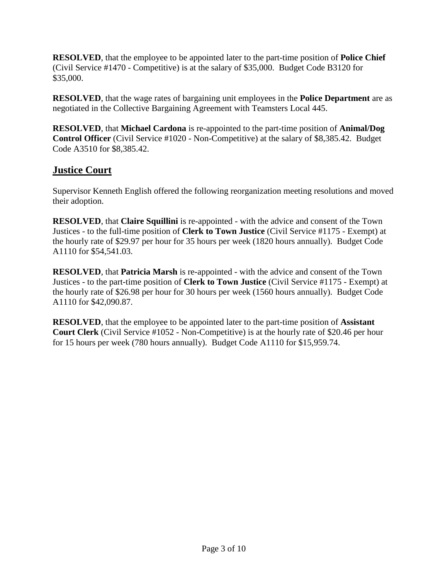**RESOLVED**, that the employee to be appointed later to the part-time position of **Police Chief** (Civil Service #1470 - Competitive) is at the salary of \$35,000. Budget Code B3120 for \$35,000.

**RESOLVED**, that the wage rates of bargaining unit employees in the **Police Department** are as negotiated in the Collective Bargaining Agreement with Teamsters Local 445.

**RESOLVED**, that **Michael Cardona** is re-appointed to the part-time position of **Animal/Dog Control Officer** (Civil Service #1020 - Non-Competitive) at the salary of \$8,385.42. Budget Code A3510 for \$8,385.42.

### **Justice Court**

Supervisor Kenneth English offered the following reorganization meeting resolutions and moved their adoption.

**RESOLVED**, that **Claire Squillini** is re-appointed - with the advice and consent of the Town Justices - to the full-time position of **Clerk to Town Justice** (Civil Service #1175 - Exempt) at the hourly rate of \$29.97 per hour for 35 hours per week (1820 hours annually). Budget Code A1110 for \$54,541.03.

**RESOLVED**, that **Patricia Marsh** is re-appointed - with the advice and consent of the Town Justices - to the part-time position of **Clerk to Town Justice** (Civil Service #1175 - Exempt) at the hourly rate of \$26.98 per hour for 30 hours per week (1560 hours annually). Budget Code A1110 for \$42,090.87.

**RESOLVED**, that the employee to be appointed later to the part-time position of **Assistant Court Clerk** (Civil Service #1052 - Non-Competitive) is at the hourly rate of \$20.46 per hour for 15 hours per week (780 hours annually). Budget Code A1110 for \$15,959.74.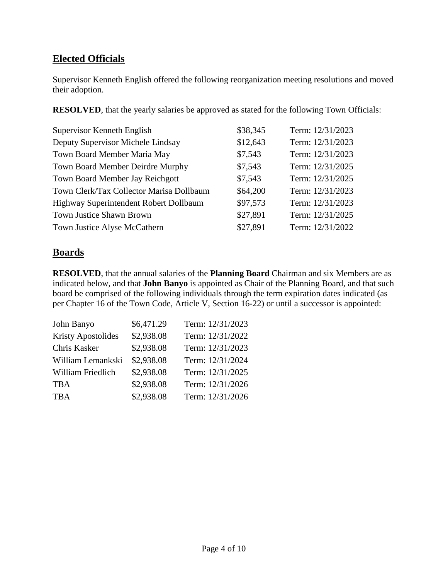# **Elected Officials**

Supervisor Kenneth English offered the following reorganization meeting resolutions and moved their adoption.

**RESOLVED**, that the yearly salaries be approved as stated for the following Town Officials:

| Supervisor Kenneth English               | \$38,345 | Term: 12/31/2023 |
|------------------------------------------|----------|------------------|
| Deputy Supervisor Michele Lindsay        | \$12,643 | Term: 12/31/2023 |
| Town Board Member Maria May              | \$7,543  | Term: 12/31/2023 |
| Town Board Member Deirdre Murphy         | \$7,543  | Term: 12/31/2025 |
| Town Board Member Jay Reichgott          | \$7,543  | Term: 12/31/2025 |
| Town Clerk/Tax Collector Marisa Dollbaum | \$64,200 | Term: 12/31/2023 |
| Highway Superintendent Robert Dollbaum   | \$97,573 | Term: 12/31/2023 |
| Town Justice Shawn Brown                 | \$27,891 | Term: 12/31/2025 |
| Town Justice Alyse McCathern             | \$27,891 | Term: 12/31/2022 |

## **Boards**

**RESOLVED**, that the annual salaries of the **Planning Board** Chairman and six Members are as indicated below, and that **John Banyo** is appointed as Chair of the Planning Board, and that such board be comprised of the following individuals through the term expiration dates indicated (as per Chapter 16 of the Town Code, Article V, Section 16-22) or until a successor is appointed:

| John Banyo                | \$6,471.29 | Term: 12/31/2023 |
|---------------------------|------------|------------------|
| <b>Kristy Apostolides</b> | \$2,938.08 | Term: 12/31/2022 |
| Chris Kasker              | \$2,938.08 | Term: 12/31/2023 |
| William Lemankski         | \$2,938.08 | Term: 12/31/2024 |
| William Friedlich         | \$2,938.08 | Term: 12/31/2025 |
| <b>TBA</b>                | \$2,938.08 | Term: 12/31/2026 |
| <b>TBA</b>                | \$2,938.08 | Term: 12/31/2026 |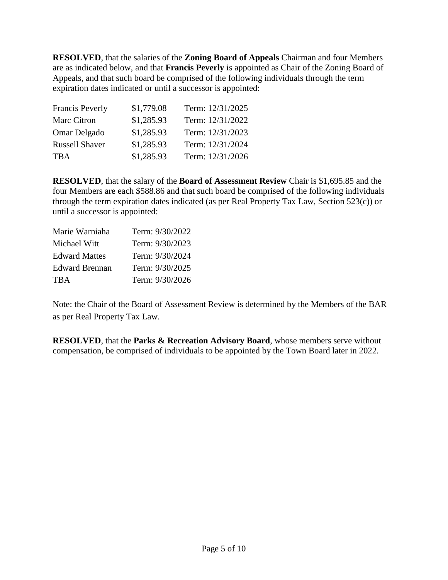**RESOLVED**, that the salaries of the **Zoning Board of Appeals** Chairman and four Members are as indicated below, and that **Francis Peverly** is appointed as Chair of the Zoning Board of Appeals, and that such board be comprised of the following individuals through the term expiration dates indicated or until a successor is appointed:

| <b>Francis Peverly</b> | \$1,779.08 | Term: 12/31/2025 |
|------------------------|------------|------------------|
| Marc Citron            | \$1,285.93 | Term: 12/31/2022 |
| Omar Delgado           | \$1,285.93 | Term: 12/31/2023 |
| <b>Russell Shaver</b>  | \$1,285.93 | Term: 12/31/2024 |
| <b>TBA</b>             | \$1,285.93 | Term: 12/31/2026 |

**RESOLVED**, that the salary of the **Board of Assessment Review** Chair is \$1,695.85 and the four Members are each \$588.86 and that such board be comprised of the following individuals through the term expiration dates indicated (as per Real Property Tax Law, Section 523(c)) or until a successor is appointed:

| Marie Warniaha        | Term: 9/30/2022 |
|-----------------------|-----------------|
| Michael Witt          | Term: 9/30/2023 |
| <b>Edward Mattes</b>  | Term: 9/30/2024 |
| <b>Edward Brennan</b> | Term: 9/30/2025 |
| <b>TRA</b>            | Term: 9/30/2026 |

Note: the Chair of the Board of Assessment Review is determined by the Members of the BAR as per Real Property Tax Law.

**RESOLVED**, that the **Parks & Recreation Advisory Board**, whose members serve without compensation, be comprised of individuals to be appointed by the Town Board later in 2022.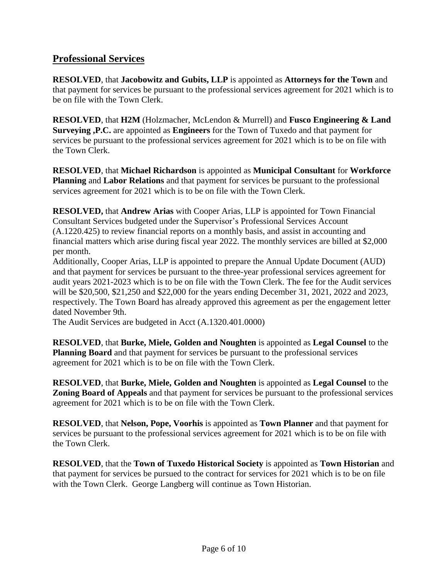## **Professional Services**

**RESOLVED**, that **Jacobowitz and Gubits, LLP** is appointed as **Attorneys for the Town** and that payment for services be pursuant to the professional services agreement for 2021 which is to be on file with the Town Clerk.

**RESOLVED**, that **H2M** (Holzmacher, McLendon & Murrell) and **Fusco Engineering & Land Surveying ,P.C.** are appointed as **Engineers** for the Town of Tuxedo and that payment for services be pursuant to the professional services agreement for 2021 which is to be on file with the Town Clerk.

**RESOLVED**, that **Michael Richardson** is appointed as **Municipal Consultant** for **Workforce Planning** and **Labor Relations** and that payment for services be pursuant to the professional services agreement for 2021 which is to be on file with the Town Clerk.

**RESOLVED,** that **Andrew Arias** with Cooper Arias, LLP is appointed for Town Financial Consultant Services budgeted under the Supervisor's Professional Services Account (A.1220.425) to review financial reports on a monthly basis, and assist in accounting and financial matters which arise during fiscal year 2022. The monthly services are billed at \$2,000 per month.

Additionally, Cooper Arias, LLP is appointed to prepare the Annual Update Document (AUD) and that payment for services be pursuant to the three-year professional services agreement for audit years 2021-2023 which is to be on file with the Town Clerk. The fee for the Audit services will be \$20,500, \$21,250 and \$22,000 for the years ending December 31, 2021, 2022 and 2023, respectively. The Town Board has already approved this agreement as per the engagement letter dated November 9th.

The Audit Services are budgeted in Acct (A.1320.401.0000)

**RESOLVED**, that **Burke, Miele, Golden and Noughten** is appointed as **Legal Counsel** to the **Planning Board** and that payment for services be pursuant to the professional services agreement for 2021 which is to be on file with the Town Clerk.

**RESOLVED**, that **Burke, Miele, Golden and Noughten** is appointed as **Legal Counsel** to the **Zoning Board of Appeals** and that payment for services be pursuant to the professional services agreement for 2021 which is to be on file with the Town Clerk.

**RESOLVED**, that **Nelson, Pope, Voorhis** is appointed as **Town Planner** and that payment for services be pursuant to the professional services agreement for 2021 which is to be on file with the Town Clerk.

**RESOLVED**, that the **Town of Tuxedo Historical Society** is appointed as **Town Historian** and that payment for services be pursued to the contract for services for 2021 which is to be on file with the Town Clerk. George Langberg will continue as Town Historian.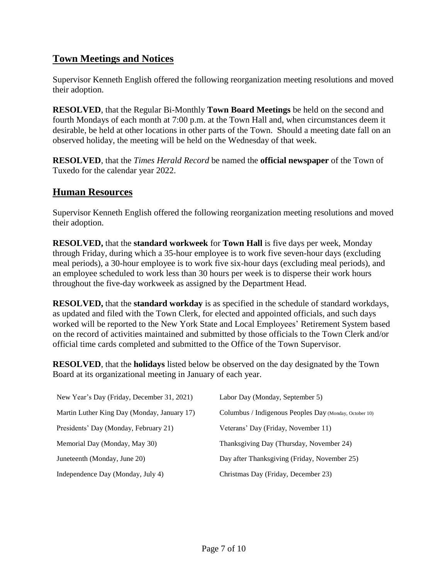# **Town Meetings and Notices**

Supervisor Kenneth English offered the following reorganization meeting resolutions and moved their adoption.

**RESOLVED**, that the Regular Bi-Monthly **Town Board Meetings** be held on the second and fourth Mondays of each month at 7:00 p.m. at the Town Hall and, when circumstances deem it desirable, be held at other locations in other parts of the Town. Should a meeting date fall on an observed holiday, the meeting will be held on the Wednesday of that week.

**RESOLVED**, that the *Times Herald Record* be named the **official newspaper** of the Town of Tuxedo for the calendar year 2022.

#### **Human Resources**

Supervisor Kenneth English offered the following reorganization meeting resolutions and moved their adoption.

**RESOLVED,** that the **standard workweek** for **Town Hall** is five days per week, Monday through Friday, during which a 35-hour employee is to work five seven-hour days (excluding meal periods), a 30-hour employee is to work five six-hour days (excluding meal periods), and an employee scheduled to work less than 30 hours per week is to disperse their work hours throughout the five-day workweek as assigned by the Department Head.

**RESOLVED,** that the **standard workday** is as specified in the schedule of standard workdays, as updated and filed with the Town Clerk, for elected and appointed officials, and such days worked will be reported to the New York State and Local Employees' Retirement System based on the record of activities maintained and submitted by those officials to the Town Clerk and/or official time cards completed and submitted to the Office of the Town Supervisor.

**RESOLVED**, that the **holidays** listed below be observed on the day designated by the Town Board at its organizational meeting in January of each year.

| New Year's Day (Friday, December 31, 2021)  | Labor Day (Monday, September 5)                        |
|---------------------------------------------|--------------------------------------------------------|
| Martin Luther King Day (Monday, January 17) | Columbus / Indigenous Peoples Day (Monday, October 10) |
| Presidents' Day (Monday, February 21)       | Veterans' Day (Friday, November 11)                    |
| Memorial Day (Monday, May 30)               | Thanksgiving Day (Thursday, November 24)               |
| Juneteenth (Monday, June 20)                | Day after Thanksgiving (Friday, November 25)           |
| Independence Day (Monday, July 4)           | Christmas Day (Friday, December 23)                    |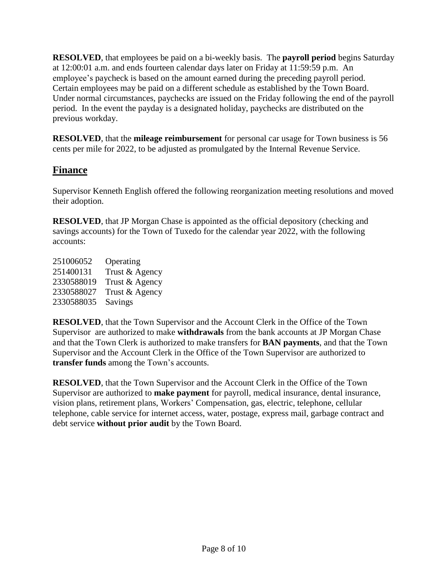**RESOLVED**, that employees be paid on a bi-weekly basis. The **payroll period** begins Saturday at 12:00:01 a.m. and ends fourteen calendar days later on Friday at 11:59:59 p.m. An employee's paycheck is based on the amount earned during the preceding payroll period. Certain employees may be paid on a different schedule as established by the Town Board. Under normal circumstances, paychecks are issued on the Friday following the end of the payroll period. In the event the payday is a designated holiday, paychecks are distributed on the previous workday.

**RESOLVED**, that the **mileage reimbursement** for personal car usage for Town business is 56 cents per mile for 2022, to be adjusted as promulgated by the Internal Revenue Service.

# **Finance**

Supervisor Kenneth English offered the following reorganization meeting resolutions and moved their adoption.

**RESOLVED**, that JP Morgan Chase is appointed as the official depository (checking and savings accounts) for the Town of Tuxedo for the calendar year 2022, with the following accounts:

 Operating Trust & Agency Trust & Agency Trust & Agency 2330588035 Savings

**RESOLVED**, that the Town Supervisor and the Account Clerk in the Office of the Town Supervisor are authorized to make **withdrawals** from the bank accounts at JP Morgan Chase and that the Town Clerk is authorized to make transfers for **BAN payments**, and that the Town Supervisor and the Account Clerk in the Office of the Town Supervisor are authorized to **transfer funds** among the Town's accounts.

**RESOLVED**, that the Town Supervisor and the Account Clerk in the Office of the Town Supervisor are authorized to **make payment** for payroll, medical insurance, dental insurance, vision plans, retirement plans, Workers' Compensation, gas, electric, telephone, cellular telephone, cable service for internet access, water, postage, express mail, garbage contract and debt service **without prior audit** by the Town Board.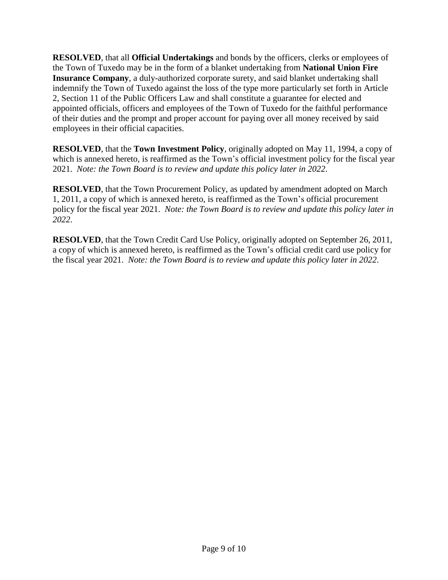**RESOLVED**, that all **Official Undertakings** and bonds by the officers, clerks or employees of the Town of Tuxedo may be in the form of a blanket undertaking from **National Union Fire Insurance Company**, a duly-authorized corporate surety, and said blanket undertaking shall indemnify the Town of Tuxedo against the loss of the type more particularly set forth in Article 2, Section 11 of the Public Officers Law and shall constitute a guarantee for elected and appointed officials, officers and employees of the Town of Tuxedo for the faithful performance of their duties and the prompt and proper account for paying over all money received by said employees in their official capacities.

**RESOLVED**, that the **Town Investment Policy**, originally adopted on May 11, 1994, a copy of which is annexed hereto, is reaffirmed as the Town's official investment policy for the fiscal year 2021. *Note: the Town Board is to review and update this policy later in 2022*.

**RESOLVED**, that the Town [Procurement](https://docs.google.com/document/u/0/d/1nkPo5XDqwbgnm_WovT1TrIx0lv-PiO7rvW04exlYrYo/edit) Policy, as updated by amendment adopted on March 1, 2011, a copy of which is annexed hereto, is reaffirmed as the Town's official procurement policy for the fiscal year 2021. *Note: the Town Board is to review and update this policy later in 2022*.

**RESOLVED**, that the Town Credit Card Use [Policy,](https://docs.google.com/document/u/0/d/1IO1EAm2sNcldiCS08zqdR9FpaLOQLZNholmuE-ZbNHE/edit) originally adopted on September 26, 2011, a copy of which is annexed hereto, is reaffirmed as the Town's official credit card use policy for the fiscal year 2021. *Note: the Town Board is to review and update this policy later in 2022*.